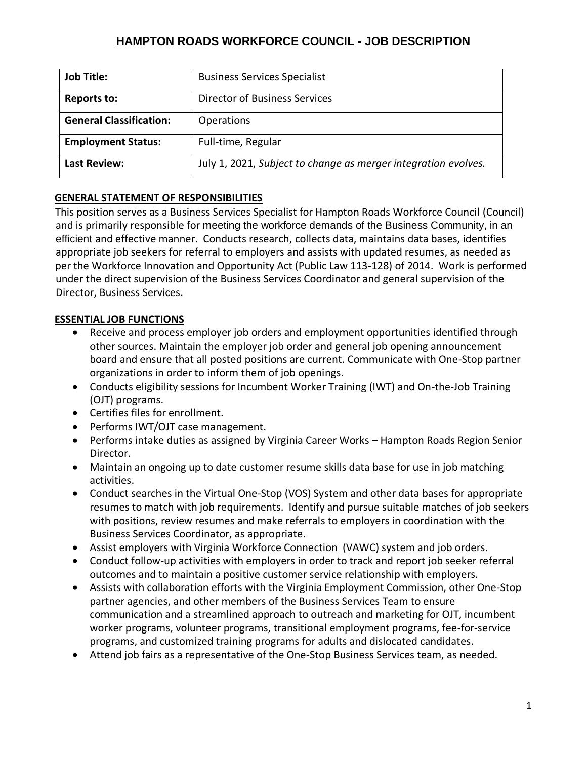# **HAMPTON ROADS WORKFORCE COUNCIL - JOB DESCRIPTION**

| <b>Job Title:</b>              | <b>Business Services Specialist</b>                            |
|--------------------------------|----------------------------------------------------------------|
| <b>Reports to:</b>             | <b>Director of Business Services</b>                           |
| <b>General Classification:</b> | <b>Operations</b>                                              |
| <b>Employment Status:</b>      | Full-time, Regular                                             |
| <b>Last Review:</b>            | July 1, 2021, Subject to change as merger integration evolves. |

### **GENERAL STATEMENT OF RESPONSIBILITIES**

This position serves as a Business Services Specialist for Hampton Roads Workforce Council (Council) and is primarily responsible for meeting the workforce demands of the Business Community, in an efficient and effective manner. Conducts research, collects data, maintains data bases, identifies appropriate job seekers for referral to employers and assists with updated resumes, as needed as per the Workforce Innovation and Opportunity Act (Public Law 113-128) of 2014. Work is performed under the direct supervision of the Business Services Coordinator and general supervision of the Director, Business Services.

### **ESSENTIAL JOB FUNCTIONS**

- Receive and process employer job orders and employment opportunities identified through other sources. Maintain the employer job order and general job opening announcement board and ensure that all posted positions are current. Communicate with One-Stop partner organizations in order to inform them of job openings.
- Conducts eligibility sessions for Incumbent Worker Training (IWT) and On-the-Job Training (OJT) programs.
- Certifies files for enrollment.
- Performs IWT/OJT case management.
- Performs intake duties as assigned by Virginia Career Works Hampton Roads Region Senior Director.
- Maintain an ongoing up to date customer resume skills data base for use in job matching activities.
- Conduct searches in the Virtual One-Stop (VOS) System and other data bases for appropriate resumes to match with job requirements. Identify and pursue suitable matches of job seekers with positions, review resumes and make referrals to employers in coordination with the Business Services Coordinator, as appropriate.
- Assist employers with Virginia Workforce Connection (VAWC) system and job orders.
- Conduct follow-up activities with employers in order to track and report job seeker referral outcomes and to maintain a positive customer service relationship with employers.
- Assists with collaboration efforts with the Virginia Employment Commission, other One-Stop partner agencies, and other members of the Business Services Team to ensure communication and a streamlined approach to outreach and marketing for OJT, incumbent worker programs, volunteer programs, transitional employment programs, fee-for-service programs, and customized training programs for adults and dislocated candidates.
- Attend job fairs as a representative of the One-Stop Business Services team, as needed.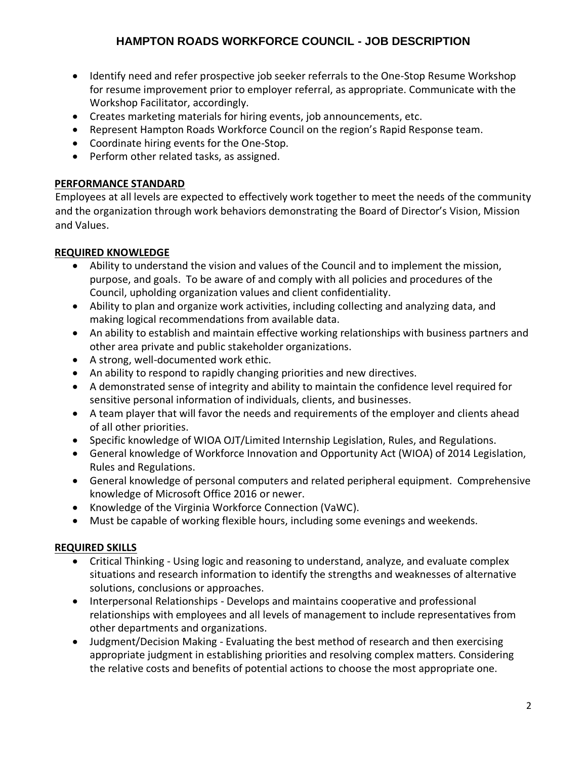- Identify need and refer prospective job seeker referrals to the One-Stop Resume Workshop for resume improvement prior to employer referral, as appropriate. Communicate with the Workshop Facilitator, accordingly.
- Creates marketing materials for hiring events, job announcements, etc.
- Represent Hampton Roads Workforce Council on the region's Rapid Response team.
- Coordinate hiring events for the One-Stop.
- Perform other related tasks, as assigned.

## **PERFORMANCE STANDARD**

Employees at all levels are expected to effectively work together to meet the needs of the community and the organization through work behaviors demonstrating the Board of Director's Vision, Mission and Values.

## **REQUIRED KNOWLEDGE**

- Ability to understand the vision and values of the Council and to implement the mission, purpose, and goals. To be aware of and comply with all policies and procedures of the Council, upholding organization values and client confidentiality.
- Ability to plan and organize work activities, including collecting and analyzing data, and making logical recommendations from available data.
- An ability to establish and maintain effective working relationships with business partners and other area private and public stakeholder organizations.
- A strong, well-documented work ethic.
- An ability to respond to rapidly changing priorities and new directives.
- A demonstrated sense of integrity and ability to maintain the confidence level required for sensitive personal information of individuals, clients, and businesses.
- A team player that will favor the needs and requirements of the employer and clients ahead of all other priorities.
- Specific knowledge of WIOA OJT/Limited Internship Legislation, Rules, and Regulations.
- General knowledge of Workforce Innovation and Opportunity Act (WIOA) of 2014 Legislation, Rules and Regulations.
- General knowledge of personal computers and related peripheral equipment. Comprehensive knowledge of Microsoft Office 2016 or newer.
- Knowledge of the Virginia Workforce Connection (VaWC).
- Must be capable of working flexible hours, including some evenings and weekends.

# **REQUIRED SKILLS**

- Critical Thinking Using logic and reasoning to understand, analyze, and evaluate complex situations and research information to identify the strengths and weaknesses of alternative solutions, conclusions or approaches.
- Interpersonal Relationships Develops and maintains cooperative and professional relationships with employees and all levels of management to include representatives from other departments and organizations.
- Judgment/Decision Making Evaluating the best method of research and then exercising appropriate judgment in establishing priorities and resolving complex matters. Considering the relative costs and benefits of potential actions to choose the most appropriate one.